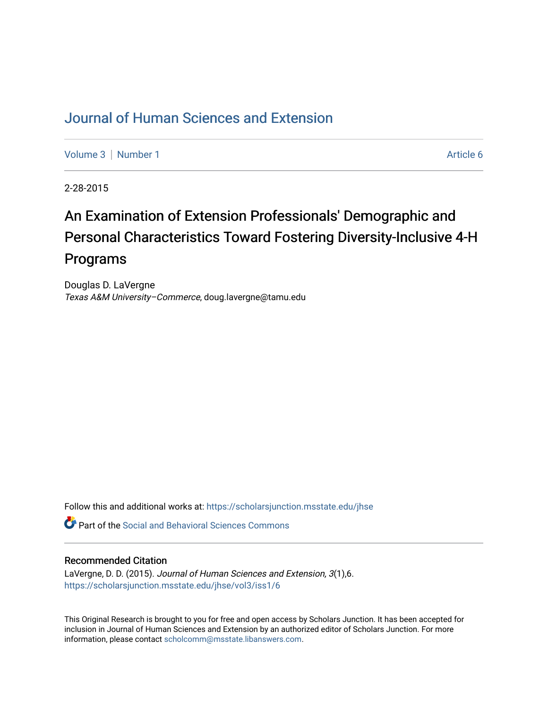## [Journal of Human Sciences and Extension](https://scholarsjunction.msstate.edu/jhse)

[Volume 3](https://scholarsjunction.msstate.edu/jhse/vol3) | [Number 1](https://scholarsjunction.msstate.edu/jhse/vol3/iss1) Article 6

2-28-2015

# An Examination of Extension Professionals' Demographic and Personal Characteristics Toward Fostering Diversity-Inclusive 4-H Programs

Douglas D. LaVergne Texas A&M University–Commerce, doug.lavergne@tamu.edu

Follow this and additional works at: [https://scholarsjunction.msstate.edu/jhse](https://scholarsjunction.msstate.edu/jhse?utm_source=scholarsjunction.msstate.edu%2Fjhse%2Fvol3%2Fiss1%2F6&utm_medium=PDF&utm_campaign=PDFCoverPages)

Part of the [Social and Behavioral Sciences Commons](http://network.bepress.com/hgg/discipline/316?utm_source=scholarsjunction.msstate.edu%2Fjhse%2Fvol3%2Fiss1%2F6&utm_medium=PDF&utm_campaign=PDFCoverPages) 

#### Recommended Citation

LaVergne, D. D. (2015). Journal of Human Sciences and Extension, 3(1),6. [https://scholarsjunction.msstate.edu/jhse/vol3/iss1/6](https://scholarsjunction.msstate.edu/jhse/vol3/iss1/6?utm_source=scholarsjunction.msstate.edu%2Fjhse%2Fvol3%2Fiss1%2F6&utm_medium=PDF&utm_campaign=PDFCoverPages)

This Original Research is brought to you for free and open access by Scholars Junction. It has been accepted for inclusion in Journal of Human Sciences and Extension by an authorized editor of Scholars Junction. For more information, please contact [scholcomm@msstate.libanswers.com](mailto:scholcomm@msstate.libanswers.com).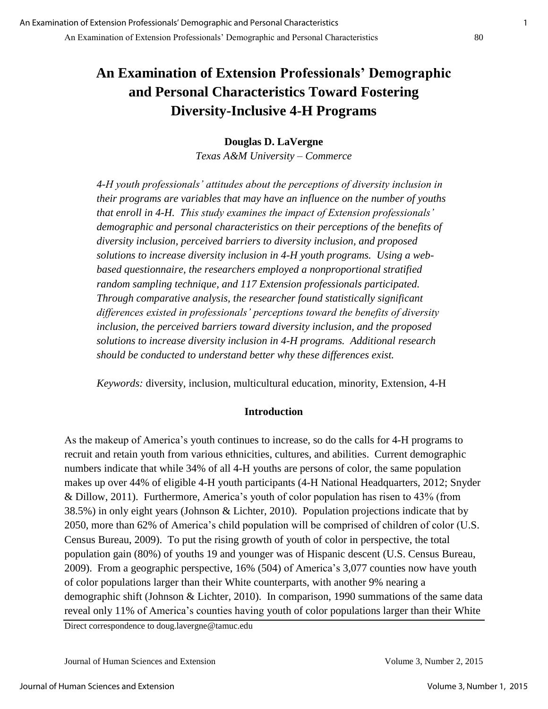## **An Examination of Extension Professionals' Demographic and Personal Characteristics Toward Fostering Diversity-Inclusive 4-H Programs**

## **Douglas D. LaVergne**

*Texas A&M University – Commerce* 

*4-H youth professionals' attitudes about the perceptions of diversity inclusion in their programs are variables that may have an influence on the number of youths that enroll in 4-H. This study examines the impact of Extension professionals' demographic and personal characteristics on their perceptions of the benefits of diversity inclusion, perceived barriers to diversity inclusion, and proposed solutions to increase diversity inclusion in 4-H youth programs. Using a webbased questionnaire, the researchers employed a nonproportional stratified random sampling technique, and 117 Extension professionals participated. Through comparative analysis, the researcher found statistically significant differences existed in professionals' perceptions toward the benefits of diversity inclusion, the perceived barriers toward diversity inclusion, and the proposed solutions to increase diversity inclusion in 4-H programs. Additional research should be conducted to understand better why these differences exist.* 

*Keywords:* diversity, inclusion, multicultural education, minority, Extension, 4-H

## **Introduction**

As the makeup of America's youth continues to increase, so do the calls for 4-H programs to recruit and retain youth from various ethnicities, cultures, and abilities. Current demographic numbers indicate that while 34% of all 4-H youths are persons of color, the same population makes up over 44% of eligible 4-H youth participants (4-H National Headquarters, 2012; Snyder & Dillow, 2011). Furthermore, America's youth of color population has risen to 43% (from 38.5%) in only eight years (Johnson & Lichter, 2010). Population projections indicate that by 2050, more than 62% of America's child population will be comprised of children of color (U.S. Census Bureau, 2009). To put the rising growth of youth of color in perspective, the total population gain (80%) of youths 19 and younger was of Hispanic descent (U.S. Census Bureau, 2009). From a geographic perspective, 16% (504) of America's 3,077 counties now have youth of color populations larger than their White counterparts, with another 9% nearing a demographic shift (Johnson & Lichter, 2010). In comparison, 1990 summations of the same data reveal only 11% of America's counties having youth of color populations larger than their White

Direct correspondence to doug.lavergne@tamuc.edu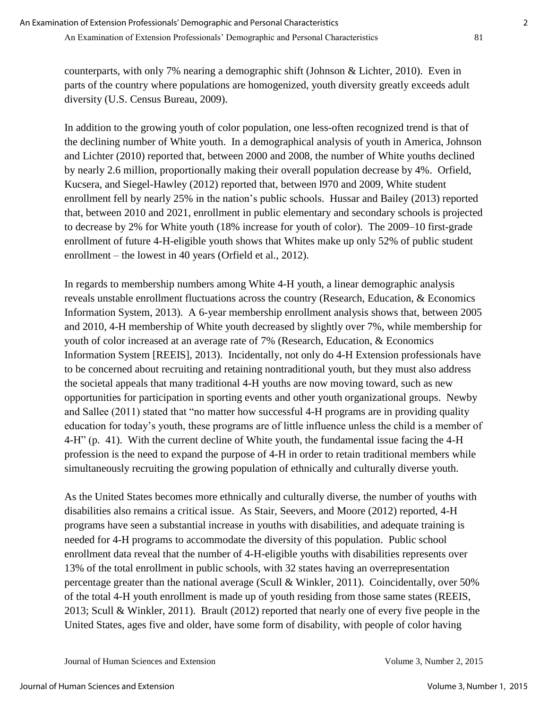counterparts, with only 7% nearing a demographic shift (Johnson & Lichter, 2010). Even in parts of the country where populations are homogenized, youth diversity greatly exceeds adult diversity (U.S. Census Bureau, 2009).

In addition to the growing youth of color population, one less-often recognized trend is that of the declining number of White youth. In a demographical analysis of youth in America, Johnson and Lichter (2010) reported that, between 2000 and 2008, the number of White youths declined by nearly 2.6 million, proportionally making their overall population decrease by 4%. Orfield, Kucsera, and Siegel-Hawley (2012) reported that, between l970 and 2009, White student enrollment fell by nearly 25% in the nation's public schools. Hussar and Bailey (2013) reported that, between 2010 and 2021, enrollment in public elementary and secondary schools is projected to decrease by 2% for White youth (18% increase for youth of color). The 2009–10 first-grade enrollment of future 4-H-eligible youth shows that Whites make up only 52% of public student enrollment – the lowest in 40 years (Orfield et al., 2012).

In regards to membership numbers among White 4-H youth, a linear demographic analysis reveals unstable enrollment fluctuations across the country (Research, Education, & Economics Information System, 2013). A 6-year membership enrollment analysis shows that, between 2005 and 2010, 4-H membership of White youth decreased by slightly over 7%, while membership for youth of color increased at an average rate of 7% (Research, Education, & Economics Information System [REEIS], 2013). Incidentally, not only do 4-H Extension professionals have to be concerned about recruiting and retaining nontraditional youth, but they must also address the societal appeals that many traditional 4-H youths are now moving toward, such as new opportunities for participation in sporting events and other youth organizational groups. Newby and Sallee (2011) stated that "no matter how successful 4-H programs are in providing quality education for today's youth, these programs are of little influence unless the child is a member of 4-H" (p. 41). With the current decline of White youth, the fundamental issue facing the 4-H profession is the need to expand the purpose of 4-H in order to retain traditional members while simultaneously recruiting the growing population of ethnically and culturally diverse youth.

As the United States becomes more ethnically and culturally diverse, the number of youths with disabilities also remains a critical issue. As Stair, Seevers, and Moore (2012) reported, 4-H programs have seen a substantial increase in youths with disabilities, and adequate training is needed for 4-H programs to accommodate the diversity of this population. Public school enrollment data reveal that the number of 4-H-eligible youths with disabilities represents over 13% of the total enrollment in public schools, with 32 states having an overrepresentation percentage greater than the national average (Scull & Winkler, 2011). Coincidentally, over 50% of the total 4-H youth enrollment is made up of youth residing from those same states (REEIS, 2013; Scull & Winkler, 2011). Brault (2012) reported that nearly one of every five people in the United States, ages five and older, have some form of disability, with people of color having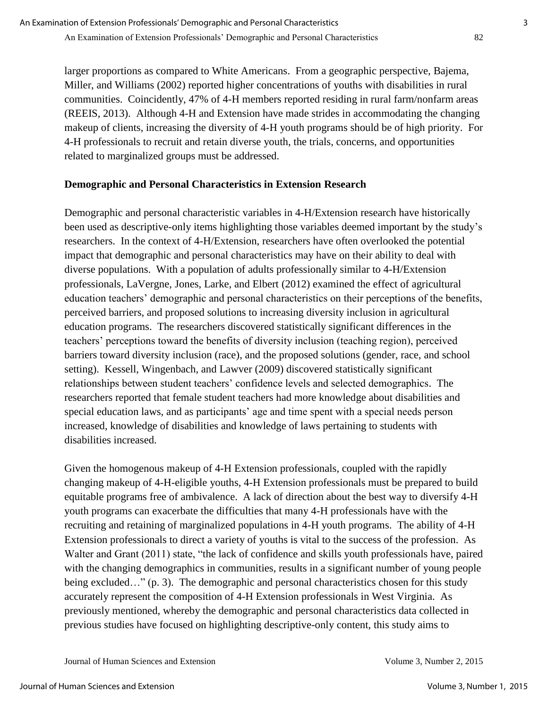larger proportions as compared to White Americans. From a geographic perspective, Bajema, Miller, and Williams (2002) reported higher concentrations of youths with disabilities in rural communities. Coincidently, 47% of 4-H members reported residing in rural farm/nonfarm areas (REEIS, 2013). Although 4-H and Extension have made strides in accommodating the changing makeup of clients, increasing the diversity of 4-H youth programs should be of high priority. For 4-H professionals to recruit and retain diverse youth, the trials, concerns, and opportunities related to marginalized groups must be addressed.

## **Demographic and Personal Characteristics in Extension Research**

Demographic and personal characteristic variables in 4-H/Extension research have historically been used as descriptive-only items highlighting those variables deemed important by the study's researchers. In the context of 4-H/Extension, researchers have often overlooked the potential impact that demographic and personal characteristics may have on their ability to deal with diverse populations. With a population of adults professionally similar to 4-H/Extension professionals, LaVergne, Jones, Larke, and Elbert (2012) examined the effect of agricultural education teachers' demographic and personal characteristics on their perceptions of the benefits, perceived barriers, and proposed solutions to increasing diversity inclusion in agricultural education programs. The researchers discovered statistically significant differences in the teachers' perceptions toward the benefits of diversity inclusion (teaching region), perceived barriers toward diversity inclusion (race), and the proposed solutions (gender, race, and school setting). Kessell, Wingenbach, and Lawver (2009) discovered statistically significant relationships between student teachers' confidence levels and selected demographics. The researchers reported that female student teachers had more knowledge about disabilities and special education laws, and as participants' age and time spent with a special needs person increased, knowledge of disabilities and knowledge of laws pertaining to students with disabilities increased.

Given the homogenous makeup of 4-H Extension professionals, coupled with the rapidly changing makeup of 4-H-eligible youths, 4-H Extension professionals must be prepared to build equitable programs free of ambivalence. A lack of direction about the best way to diversify 4-H youth programs can exacerbate the difficulties that many 4-H professionals have with the recruiting and retaining of marginalized populations in 4-H youth programs. The ability of 4-H Extension professionals to direct a variety of youths is vital to the success of the profession. As Walter and Grant (2011) state, "the lack of confidence and skills youth professionals have, paired with the changing demographics in communities, results in a significant number of young people being excluded…" (p. 3). The demographic and personal characteristics chosen for this study accurately represent the composition of 4-H Extension professionals in West Virginia. As previously mentioned, whereby the demographic and personal characteristics data collected in previous studies have focused on highlighting descriptive-only content, this study aims to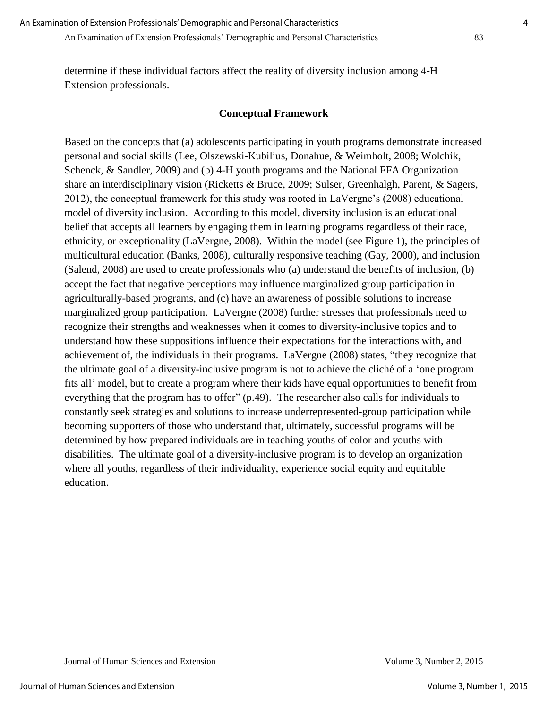determine if these individual factors affect the reality of diversity inclusion among 4-H Extension professionals.

#### **Conceptual Framework**

Based on the concepts that (a) adolescents participating in youth programs demonstrate increased personal and social skills (Lee, Olszewski-Kubilius, Donahue, & Weimholt, 2008; Wolchik, Schenck, & Sandler, 2009) and (b) 4-H youth programs and the National FFA Organization share an interdisciplinary vision (Ricketts & Bruce, 2009; Sulser, Greenhalgh, Parent, & Sagers, 2012), the conceptual framework for this study was rooted in LaVergne's (2008) educational model of diversity inclusion. According to this model, diversity inclusion is an educational belief that accepts all learners by engaging them in learning programs regardless of their race, ethnicity, or exceptionality (LaVergne, 2008). Within the model (see Figure 1), the principles of multicultural education (Banks, 2008), culturally responsive teaching (Gay, 2000), and inclusion (Salend, 2008) are used to create professionals who (a) understand the benefits of inclusion, (b) accept the fact that negative perceptions may influence marginalized group participation in agriculturally-based programs, and (c) have an awareness of possible solutions to increase marginalized group participation. LaVergne (2008) further stresses that professionals need to recognize their strengths and weaknesses when it comes to diversity-inclusive topics and to understand how these suppositions influence their expectations for the interactions with, and achievement of, the individuals in their programs. LaVergne (2008) states, "they recognize that the ultimate goal of a diversity-inclusive program is not to achieve the cliché of a 'one program fits all' model, but to create a program where their kids have equal opportunities to benefit from everything that the program has to offer" (p.49). The researcher also calls for individuals to constantly seek strategies and solutions to increase underrepresented-group participation while becoming supporters of those who understand that, ultimately, successful programs will be determined by how prepared individuals are in teaching youths of color and youths with disabilities. The ultimate goal of a diversity-inclusive program is to develop an organization where all youths, regardless of their individuality, experience social equity and equitable education.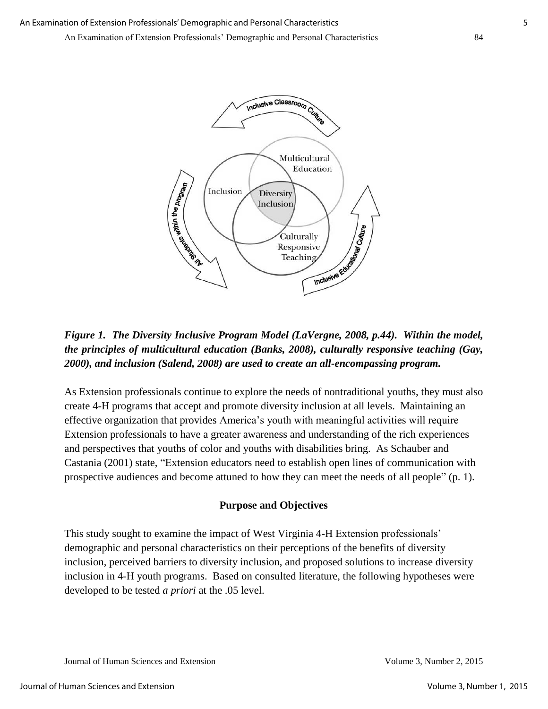

*Figure 1. The Diversity Inclusive Program Model (LaVergne, 2008, p.44). Within the model, the principles of multicultural education (Banks, 2008), culturally responsive teaching (Gay, 2000), and inclusion (Salend, 2008) are used to create an all-encompassing program.* 

As Extension professionals continue to explore the needs of nontraditional youths, they must also create 4-H programs that accept and promote diversity inclusion at all levels. Maintaining an effective organization that provides America's youth with meaningful activities will require Extension professionals to have a greater awareness and understanding of the rich experiences and perspectives that youths of color and youths with disabilities bring. As Schauber and Castania (2001) state, "Extension educators need to establish open lines of communication with prospective audiences and become attuned to how they can meet the needs of all people" (p. 1).

## **Purpose and Objectives**

This study sought to examine the impact of West Virginia 4-H Extension professionals' demographic and personal characteristics on their perceptions of the benefits of diversity inclusion, perceived barriers to diversity inclusion, and proposed solutions to increase diversity inclusion in 4-H youth programs. Based on consulted literature, the following hypotheses were developed to be tested *a priori* at the .05 level.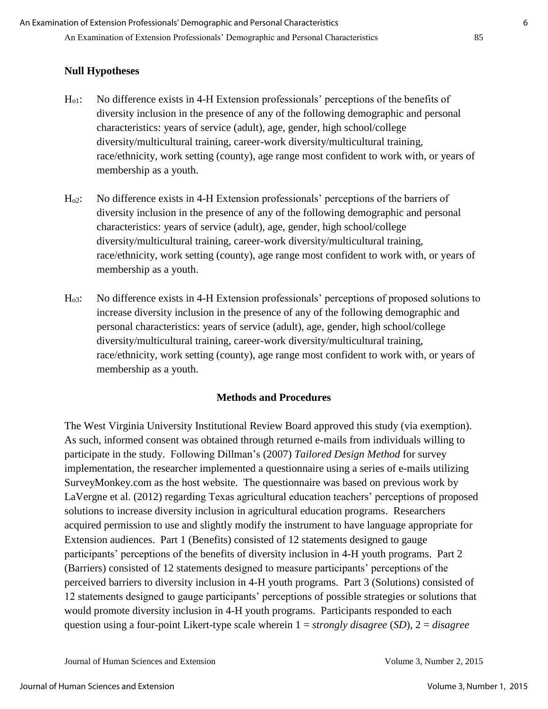## **Null Hypotheses**

- Ho1: No difference exists in 4-H Extension professionals' perceptions of the benefits of diversity inclusion in the presence of any of the following demographic and personal characteristics: years of service (adult), age, gender, high school/college diversity/multicultural training, career-work diversity/multicultural training, race/ethnicity, work setting (county), age range most confident to work with, or years of membership as a youth.
- Ho2: No difference exists in 4-H Extension professionals' perceptions of the barriers of diversity inclusion in the presence of any of the following demographic and personal characteristics: years of service (adult), age, gender, high school/college diversity/multicultural training, career-work diversity/multicultural training, race/ethnicity, work setting (county), age range most confident to work with, or years of membership as a youth.
- Ho3: No difference exists in 4-H Extension professionals' perceptions of proposed solutions to increase diversity inclusion in the presence of any of the following demographic and personal characteristics: years of service (adult), age, gender, high school/college diversity/multicultural training, career-work diversity/multicultural training, race/ethnicity, work setting (county), age range most confident to work with, or years of membership as a youth.

## **Methods and Procedures**

The West Virginia University Institutional Review Board approved this study (via exemption). As such, informed consent was obtained through returned e-mails from individuals willing to participate in the study. Following Dillman's (2007) *Tailored Design Method* for survey implementation, the researcher implemented a questionnaire using a series of e-mails utilizing SurveyMonkey.com as the host website. The questionnaire was based on previous work by LaVergne et al. (2012) regarding Texas agricultural education teachers' perceptions of proposed solutions to increase diversity inclusion in agricultural education programs. Researchers acquired permission to use and slightly modify the instrument to have language appropriate for Extension audiences. Part 1 (Benefits) consisted of 12 statements designed to gauge participants' perceptions of the benefits of diversity inclusion in 4-H youth programs. Part 2 (Barriers) consisted of 12 statements designed to measure participants' perceptions of the perceived barriers to diversity inclusion in 4-H youth programs. Part 3 (Solutions) consisted of 12 statements designed to gauge participants' perceptions of possible strategies or solutions that would promote diversity inclusion in 4-H youth programs. Participants responded to each question using a four-point Likert-type scale wherein 1 = *strongly disagree* (*SD*), 2 = *disagree*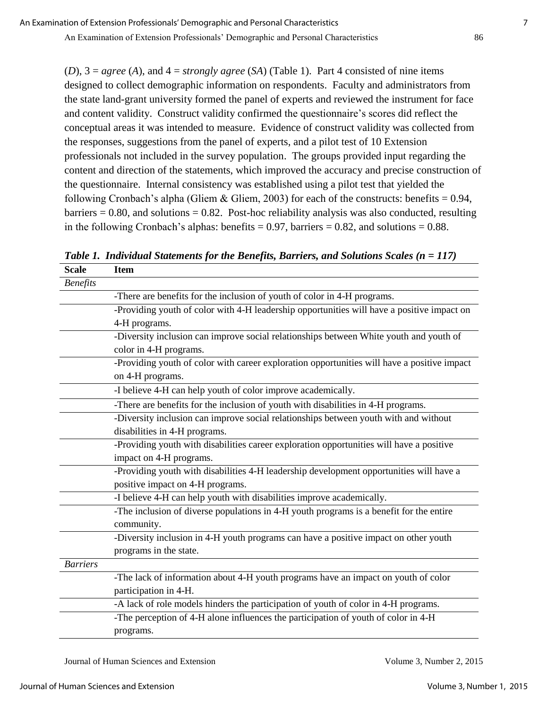An Examination of Extension Professionals' Demographic and Personal Characteristics 86

(*D*), 3 = *agree* (*A*), and 4 = *strongly agree* (*SA*) (Table 1). Part 4 consisted of nine items designed to collect demographic information on respondents. Faculty and administrators from the state land-grant university formed the panel of experts and reviewed the instrument for face and content validity. Construct validity confirmed the questionnaire's scores did reflect the conceptual areas it was intended to measure. Evidence of construct validity was collected from the responses, suggestions from the panel of experts, and a pilot test of 10 Extension professionals not included in the survey population. The groups provided input regarding the content and direction of the statements, which improved the accuracy and precise construction of the questionnaire. Internal consistency was established using a pilot test that yielded the following Cronbach's alpha (Gliem & Gliem, 2003) for each of the constructs: benefits =  $0.94$ ,  $barriers = 0.80$ , and solutions = 0.82. Post-hoc reliability analysis was also conducted, resulting in the following Cronbach's alphas: benefits  $= 0.97$ , barriers  $= 0.82$ , and solutions  $= 0.88$ .

| <b>Scale</b>    | <b>Item</b>                                                                                 |
|-----------------|---------------------------------------------------------------------------------------------|
| <b>Benefits</b> |                                                                                             |
|                 | -There are benefits for the inclusion of youth of color in 4-H programs.                    |
|                 | -Providing youth of color with 4-H leadership opportunities will have a positive impact on  |
|                 | 4-H programs.                                                                               |
|                 | -Diversity inclusion can improve social relationships between White youth and youth of      |
|                 | color in 4-H programs.                                                                      |
|                 | -Providing youth of color with career exploration opportunities will have a positive impact |
|                 | on 4-H programs.                                                                            |
|                 | -I believe 4-H can help youth of color improve academically.                                |
|                 | -There are benefits for the inclusion of youth with disabilities in 4-H programs.           |
|                 | -Diversity inclusion can improve social relationships between youth with and without        |
|                 | disabilities in 4-H programs.                                                               |
|                 | -Providing youth with disabilities career exploration opportunities will have a positive    |
|                 | impact on 4-H programs.                                                                     |
|                 | -Providing youth with disabilities 4-H leadership development opportunities will have a     |
|                 | positive impact on 4-H programs.                                                            |
|                 | -I believe 4-H can help youth with disabilities improve academically.                       |
|                 | -The inclusion of diverse populations in 4-H youth programs is a benefit for the entire     |
|                 | community.                                                                                  |
|                 | -Diversity inclusion in 4-H youth programs can have a positive impact on other youth        |
|                 | programs in the state.                                                                      |
| <b>Barriers</b> |                                                                                             |
|                 | -The lack of information about 4-H youth programs have an impact on youth of color          |
|                 | participation in 4-H.                                                                       |
|                 | -A lack of role models hinders the participation of youth of color in 4-H programs.         |
|                 | -The perception of 4-H alone influences the participation of youth of color in 4-H          |
|                 | programs.                                                                                   |

*Table 1. Individual Statements for the Benefits, Barriers, and Solutions Scales (n = 117)*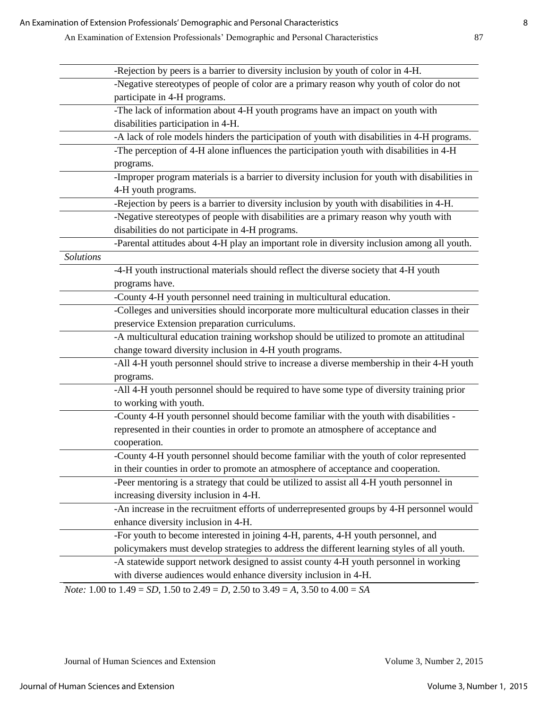|                  | -Rejection by peers is a barrier to diversity inclusion by youth of color in 4-H.                                    |
|------------------|----------------------------------------------------------------------------------------------------------------------|
|                  | -Negative stereotypes of people of color are a primary reason why youth of color do not                              |
|                  | participate in 4-H programs.                                                                                         |
|                  | -The lack of information about 4-H youth programs have an impact on youth with                                       |
|                  | disabilities participation in 4-H.                                                                                   |
|                  | -A lack of role models hinders the participation of youth with disabilities in 4-H programs.                         |
|                  | -The perception of 4-H alone influences the participation youth with disabilities in 4-H                             |
|                  | programs.                                                                                                            |
|                  | -Improper program materials is a barrier to diversity inclusion for youth with disabilities in                       |
|                  | 4-H youth programs.                                                                                                  |
|                  | -Rejection by peers is a barrier to diversity inclusion by youth with disabilities in 4-H.                           |
|                  | -Negative stereotypes of people with disabilities are a primary reason why youth with                                |
|                  | disabilities do not participate in 4-H programs.                                                                     |
|                  | -Parental attitudes about 4-H play an important role in diversity inclusion among all youth.                         |
| <b>Solutions</b> |                                                                                                                      |
|                  | -4-H youth instructional materials should reflect the diverse society that 4-H youth                                 |
|                  | programs have.                                                                                                       |
|                  | -County 4-H youth personnel need training in multicultural education.                                                |
|                  | -Colleges and universities should incorporate more multicultural education classes in their                          |
|                  | preservice Extension preparation curriculums.                                                                        |
|                  | -A multicultural education training workshop should be utilized to promote an attitudinal                            |
|                  | change toward diversity inclusion in 4-H youth programs.                                                             |
|                  | -All 4-H youth personnel should strive to increase a diverse membership in their 4-H youth                           |
|                  | programs.                                                                                                            |
|                  | -All 4-H youth personnel should be required to have some type of diversity training prior                            |
|                  | to working with youth.                                                                                               |
|                  | -County 4-H youth personnel should become familiar with the youth with disabilities -                                |
|                  | represented in their counties in order to promote an atmosphere of acceptance and                                    |
|                  | cooperation.                                                                                                         |
|                  | -County 4-H youth personnel should become familiar with the youth of color represented                               |
|                  | in their counties in order to promote an atmosphere of acceptance and cooperation.                                   |
|                  | -Peer mentoring is a strategy that could be utilized to assist all 4-H youth personnel in                            |
|                  | increasing diversity inclusion in 4-H.                                                                               |
|                  | -An increase in the recruitment efforts of underrepresented groups by 4-H personnel would                            |
|                  | enhance diversity inclusion in 4-H.                                                                                  |
|                  | -For youth to become interested in joining 4-H, parents, 4-H youth personnel, and                                    |
|                  | policymakers must develop strategies to address the different learning styles of all youth.                          |
|                  | -A statewide support network designed to assist county 4-H youth personnel in working                                |
|                  | with diverse audiences would enhance diversity inclusion in 4-H.                                                     |
|                  | <i>Note:</i> 1.00 to 1.49 = <i>SD</i> , 1.50 to 2.49 = <i>D</i> , 2.50 to 3.49 = <i>A</i> , 3.50 to 4.00 = <i>SA</i> |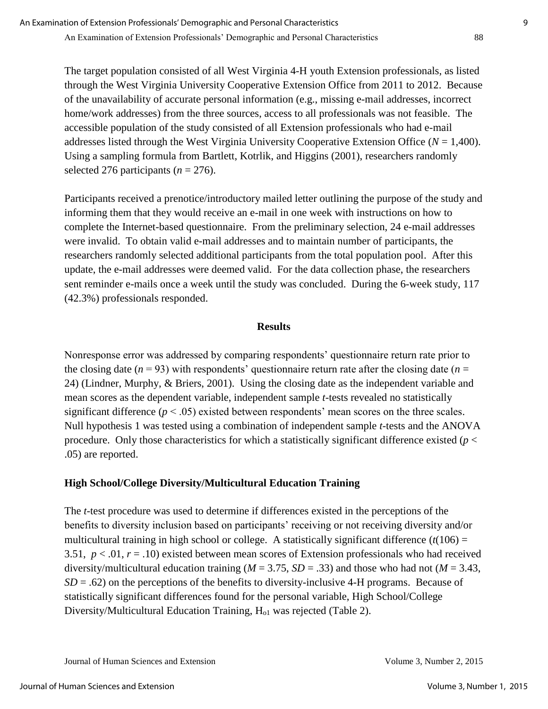The target population consisted of all West Virginia 4-H youth Extension professionals, as listed through the West Virginia University Cooperative Extension Office from 2011 to 2012. Because of the unavailability of accurate personal information (e.g., missing e-mail addresses, incorrect home/work addresses) from the three sources, access to all professionals was not feasible. The accessible population of the study consisted of all Extension professionals who had e-mail addresses listed through the West Virginia University Cooperative Extension Office (*N* = 1,400). Using a sampling formula from Bartlett, Kotrlik, and Higgins (2001), researchers randomly selected 276 participants  $(n = 276)$ .

Participants received a prenotice/introductory mailed letter outlining the purpose of the study and informing them that they would receive an e-mail in one week with instructions on how to complete the Internet-based questionnaire. From the preliminary selection, 24 e-mail addresses were invalid. To obtain valid e-mail addresses and to maintain number of participants, the researchers randomly selected additional participants from the total population pool. After this update, the e-mail addresses were deemed valid. For the data collection phase, the researchers sent reminder e-mails once a week until the study was concluded. During the 6-week study, 117 (42.3%) professionals responded.

#### **Results**

Nonresponse error was addressed by comparing respondents' questionnaire return rate prior to the closing date  $(n = 93)$  with respondents' questionnaire return rate after the closing date  $(n = 15)$ 24) (Lindner, Murphy, & Briers, 2001). Using the closing date as the independent variable and mean scores as the dependent variable, independent sample *t*-tests revealed no statistically significant difference  $(p < .05)$  existed between respondents' mean scores on the three scales. Null hypothesis 1 was tested using a combination of independent sample *t*-tests and the ANOVA procedure. Only those characteristics for which a statistically significant difference existed (*p* < .05) are reported.

## **High School/College Diversity/Multicultural Education Training**

The *t*-test procedure was used to determine if differences existed in the perceptions of the benefits to diversity inclusion based on participants' receiving or not receiving diversity and/or multicultural training in high school or college. A statistically significant difference  $(t(106) =$ 3.51,  $p < 0.01$ ,  $r = 0.10$ ) existed between mean scores of Extension professionals who had received diversity/multicultural education training (*M* = 3.75, *SD* = .33) and those who had not (*M* = 3.43,  $SD = .62$ ) on the perceptions of the benefits to diversity-inclusive 4-H programs. Because of statistically significant differences found for the personal variable, High School/College Diversity/Multicultural Education Training,  $H<sub>o1</sub>$  was rejected (Table 2).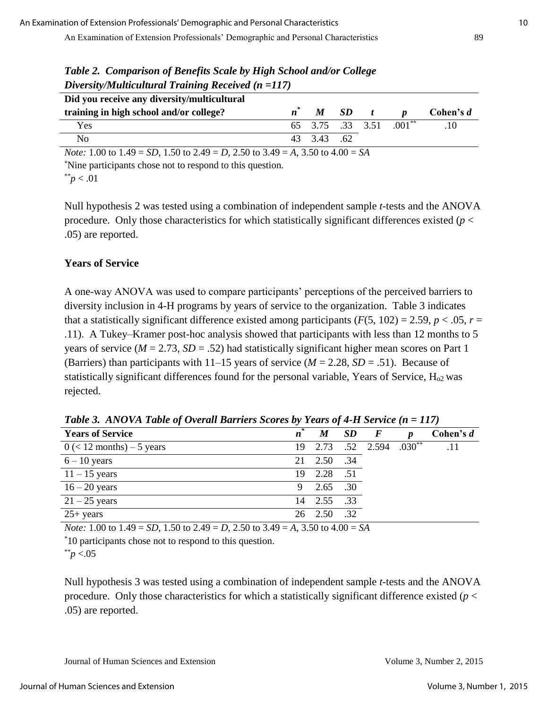| Did you receive any diversity/multicultural                                                                          |       |            |          |  |                         |           |  |
|----------------------------------------------------------------------------------------------------------------------|-------|------------|----------|--|-------------------------|-----------|--|
| training in high school and/or college?                                                                              | $n^*$ |            | $M$ SD t |  | $\boldsymbol{n}$        | Cohen's d |  |
| Yes                                                                                                                  |       |            |          |  | 65 3.75 .33 3.51 .001** | .10       |  |
| N <sub>0</sub>                                                                                                       |       | 43 3.43 62 |          |  |                         |           |  |
| <i>Note:</i> 1.00 to 1.49 = <i>SD</i> , 1.50 to 2.49 = <i>D</i> , 2.50 to 3.49 = <i>A</i> , 3.50 to 4.00 = <i>SA</i> |       |            |          |  |                         |           |  |
| *Nine participants chose not to respond to this question.                                                            |       |            |          |  |                         |           |  |

*Table 2. Comparison of Benefits Scale by High School and/or College Diversity/Multicultural Training Received (n =117)*

 $p < .01$ 

Null hypothesis 2 was tested using a combination of independent sample *t*-tests and the ANOVA procedure. Only those characteristics for which statistically significant differences existed (*p* < .05) are reported.

## **Years of Service**

A one-way ANOVA was used to compare participants' perceptions of the perceived barriers to diversity inclusion in 4-H programs by years of service to the organization. Table 3 indicates that a statistically significant difference existed among participants ( $F(5, 102) = 2.59$ ,  $p < .05$ ,  $r =$ .11). A Tukey–Kramer post-hoc analysis showed that participants with less than 12 months to 5 years of service ( $M = 2.73$ ,  $SD = .52$ ) had statistically significant higher mean scores on Part 1 (Barriers) than participants with  $11-15$  years of service ( $M = 2.28$ ,  $SD = .51$ ). Because of statistically significant differences found for the personal variable, Years of Service, H<sub>o2</sub> was rejected.

| <b>Years of Service</b>       | $\boldsymbol{n}$ | M           | $\boldsymbol{SD}$ | $\overline{F}$        | <sub>n</sub> | Cohen's d |
|-------------------------------|------------------|-------------|-------------------|-----------------------|--------------|-----------|
| $0 \leq 12$ months) – 5 years | 19.              |             |                   | 2.73 .52 2.594 .030** |              | .11       |
| $6 - 10$ years                | 21               | 2.50        | .34               |                       |              |           |
| $11 - 15$ years               | 19               | 2.28 .51    |                   |                       |              |           |
| $16 - 20$ years               | 9                | 2.65 .30    |                   |                       |              |           |
| $21 - 25$ years               | 14               | 2.55 .33    |                   |                       |              |           |
| $25+ years$                   |                  | 26 2.50 .32 |                   |                       |              |           |

*Table 3. ANOVA Table of Overall Barriers Scores by Years of 4-H Service (n = 117)*

*Note:* 1.00 to 1.49 = *SD*, 1.50 to 2.49 = *D*, 2.50 to 3.49 = *A*, 3.50 to 4.00 = *SA*

\*10 participants chose not to respond to this question.

\*\**p* <.05

Null hypothesis 3 was tested using a combination of independent sample *t*-tests and the ANOVA procedure. Only those characteristics for which a statistically significant difference existed ( $p <$ .05) are reported.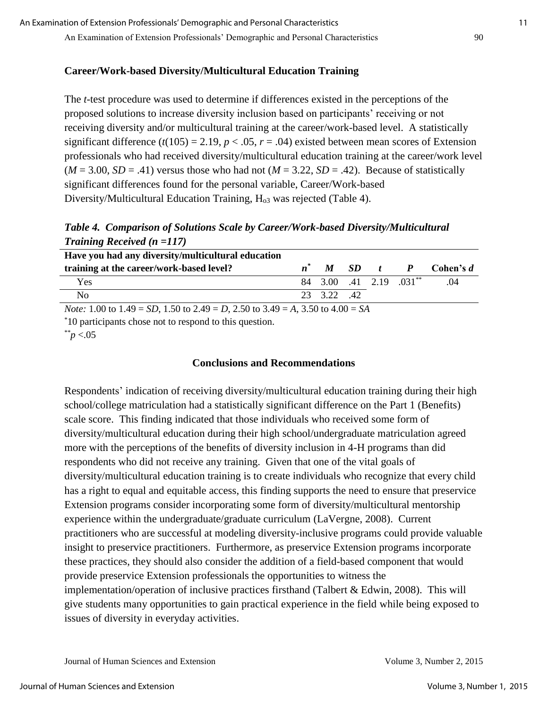## **Career/Work-based Diversity/Multicultural Education Training**

The *t*-test procedure was used to determine if differences existed in the perceptions of the proposed solutions to increase diversity inclusion based on participants' receiving or not receiving diversity and/or multicultural training at the career/work-based level. A statistically significant difference  $(t(105) = 2.19, p < .05, r = .04)$  existed between mean scores of Extension professionals who had received diversity/multicultural education training at the career/work level  $(M = 3.00, SD = .41)$  versus those who had not  $(M = 3.22, SD = .42)$ . Because of statistically significant differences found for the personal variable, Career/Work-based Diversity/Multicultural Education Training,  $H<sub>03</sub>$  was rejected (Table 4).

*Table 4. Comparison of Solutions Scale by Career/Work-based Diversity/Multicultural Training Received (n =117)*

| Have you had any diversity/multicultural education                                                                   |           |            |                         |                      |
|----------------------------------------------------------------------------------------------------------------------|-----------|------------|-------------------------|----------------------|
| training at the career/work-based level?                                                                             | M         | $SD$ t $P$ |                         | $\mathbf C$ ohen's d |
| Yes                                                                                                                  |           |            | 84 3.00 .41 2.19 .031** | .04                  |
| No                                                                                                                   | 23 322 42 |            |                         |                      |
| <i>Note:</i> 1.00 to 1.49 = <i>SD</i> , 1.50 to 2.49 = <i>D</i> , 2.50 to 3.49 = <i>A</i> , 3.50 to 4.00 = <i>SA</i> |           |            |                         |                      |

\*10 participants chose not to respond to this question.

\*\**p* <.05

#### **Conclusions and Recommendations**

Respondents' indication of receiving diversity/multicultural education training during their high school/college matriculation had a statistically significant difference on the Part 1 (Benefits) scale score. This finding indicated that those individuals who received some form of diversity/multicultural education during their high school/undergraduate matriculation agreed more with the perceptions of the benefits of diversity inclusion in 4-H programs than did respondents who did not receive any training. Given that one of the vital goals of diversity/multicultural education training is to create individuals who recognize that every child has a right to equal and equitable access, this finding supports the need to ensure that preservice Extension programs consider incorporating some form of diversity/multicultural mentorship experience within the undergraduate/graduate curriculum (LaVergne, 2008). Current practitioners who are successful at modeling diversity-inclusive programs could provide valuable insight to preservice practitioners. Furthermore, as preservice Extension programs incorporate these practices, they should also consider the addition of a field-based component that would provide preservice Extension professionals the opportunities to witness the implementation/operation of inclusive practices firsthand (Talbert & Edwin, 2008). This will give students many opportunities to gain practical experience in the field while being exposed to issues of diversity in everyday activities.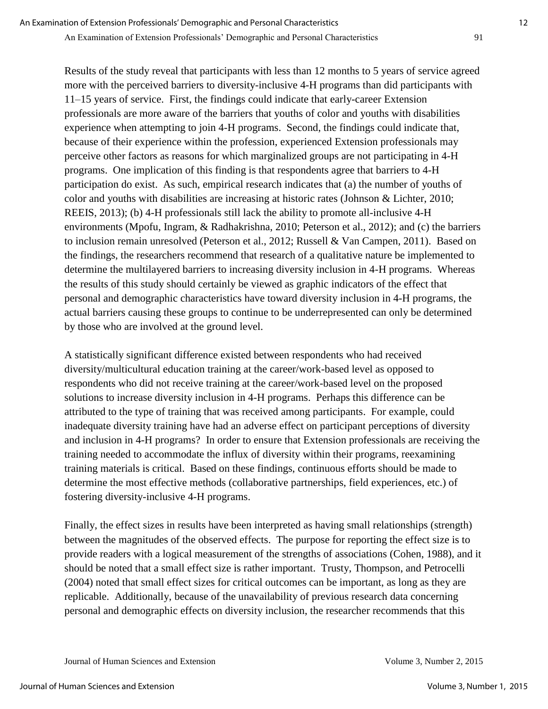Results of the study reveal that participants with less than 12 months to 5 years of service agreed more with the perceived barriers to diversity-inclusive 4-H programs than did participants with 11–15 years of service. First, the findings could indicate that early-career Extension professionals are more aware of the barriers that youths of color and youths with disabilities experience when attempting to join 4-H programs. Second, the findings could indicate that, because of their experience within the profession, experienced Extension professionals may perceive other factors as reasons for which marginalized groups are not participating in 4-H programs. One implication of this finding is that respondents agree that barriers to 4-H participation do exist. As such, empirical research indicates that (a) the number of youths of color and youths with disabilities are increasing at historic rates (Johnson & Lichter, 2010; REEIS, 2013); (b) 4-H professionals still lack the ability to promote all-inclusive 4-H environments (Mpofu, Ingram, & Radhakrishna, 2010; Peterson et al., 2012); and (c) the barriers to inclusion remain unresolved (Peterson et al., 2012; Russell & Van Campen, 2011). Based on the findings, the researchers recommend that research of a qualitative nature be implemented to determine the multilayered barriers to increasing diversity inclusion in 4-H programs. Whereas the results of this study should certainly be viewed as graphic indicators of the effect that personal and demographic characteristics have toward diversity inclusion in 4-H programs, the actual barriers causing these groups to continue to be underrepresented can only be determined by those who are involved at the ground level.

A statistically significant difference existed between respondents who had received diversity/multicultural education training at the career/work-based level as opposed to respondents who did not receive training at the career/work-based level on the proposed solutions to increase diversity inclusion in 4-H programs. Perhaps this difference can be attributed to the type of training that was received among participants. For example, could inadequate diversity training have had an adverse effect on participant perceptions of diversity and inclusion in 4-H programs? In order to ensure that Extension professionals are receiving the training needed to accommodate the influx of diversity within their programs, reexamining training materials is critical. Based on these findings, continuous efforts should be made to determine the most effective methods (collaborative partnerships, field experiences, etc.) of fostering diversity-inclusive 4-H programs.

Finally, the effect sizes in results have been interpreted as having small relationships (strength) between the magnitudes of the observed effects. The purpose for reporting the effect size is to provide readers with a logical measurement of the strengths of associations (Cohen, 1988), and it should be noted that a small effect size is rather important. Trusty, Thompson, and Petrocelli (2004) noted that small effect sizes for critical outcomes can be important, as long as they are replicable. Additionally, because of the unavailability of previous research data concerning personal and demographic effects on diversity inclusion, the researcher recommends that this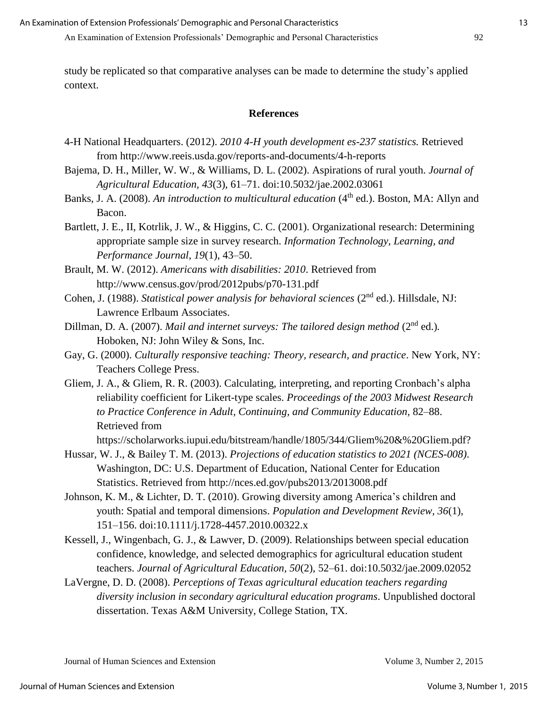An Examination of Extension Professionals' Demographic and Personal Characteristics 92

study be replicated so that comparative analyses can be made to determine the study's applied context.

#### **References**

- 4-H National Headquarters. (2012). *2010 4-H youth development es-237 statistics.* Retrieved from http://www.reeis.usda.gov/reports-and-documents/4-h-reports
- Bajema, D. H., Miller, W. W., & Williams, D. L. (2002). Aspirations of rural youth. *Journal of Agricultural Education, 43*(3), 61–71. doi:10.5032/jae.2002.03061
- Banks, J. A. (2008). *An introduction to multicultural education* (4<sup>th</sup> ed.). Boston, MA: Allyn and Bacon.
- Bartlett, J. E., II, Kotrlik, J. W., & Higgins, C. C. (2001). Organizational research: Determining appropriate sample size in survey research. *Information Technology, Learning, and Performance Journal, 19*(1), 43–50.
- Brault, M. W. (2012). *Americans with disabilities: 2010*. Retrieved from http://www.census.gov/prod/2012pubs/p70-131.pdf
- Cohen, J. (1988). *Statistical power analysis for behavioral sciences* (2<sup>nd</sup> ed.). Hillsdale, NJ: Lawrence Erlbaum Associates.
- Dillman, D. A. (2007). *Mail and internet surveys: The tailored design method* (2<sup>nd</sup> ed.). Hoboken, NJ: John Wiley & Sons, Inc.
- Gay, G. (2000). *Culturally responsive teaching: Theory, research, and practice*. New York, NY: Teachers College Press.
- Gliem, J. A., & Gliem, R. R. (2003). Calculating, interpreting, and reporting Cronbach's alpha reliability coefficient for Likert-type scales. *Proceedings of the 2003 Midwest Research to Practice Conference in Adult, Continuing, and Community Education,* 82–88. Retrieved from

https://scholarworks.iupui.edu/bitstream/handle/1805/344/Gliem%20&%20Gliem.pdf?

- Hussar, W. J., & Bailey T. M. (2013). *Projections of education statistics to 2021 (NCES-008)*. Washington, DC: U.S. Department of Education, National Center for Education Statistics. Retrieved from http://nces.ed.gov/pubs2013/2013008.pdf
- Johnson, K. M., & Lichter, D. T. (2010). Growing diversity among America's children and youth: Spatial and temporal dimensions. *Population and Development Review, 36*(1), 151–156. doi:10.1111/j.1728-4457.2010.00322.x
- Kessell, J., Wingenbach, G. J., & Lawver, D. (2009). Relationships between special education confidence, knowledge, and selected demographics for agricultural education student teachers. *Journal of Agricultural Education, 50*(2), 52–61. doi:10.5032/jae.2009.02052
- LaVergne, D. D. (2008). *Perceptions of Texas agricultural education teachers regarding diversity inclusion in secondary agricultural education programs*. Unpublished doctoral dissertation. Texas A&M University, College Station, TX.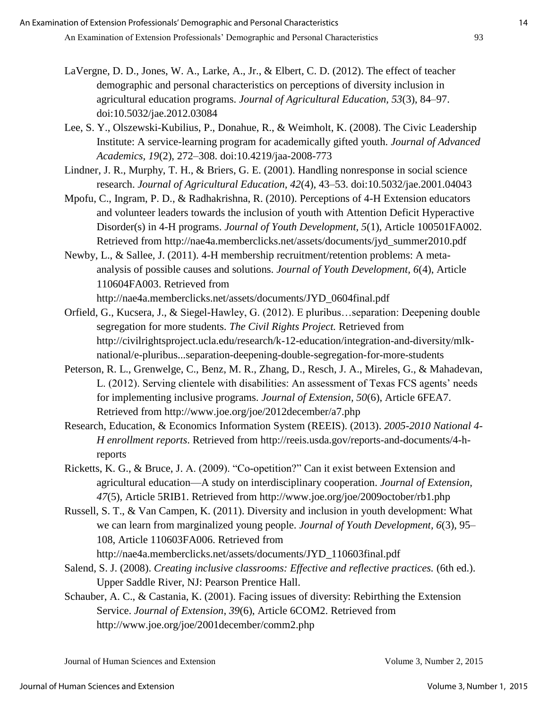- LaVergne, D. D., Jones, W. A., Larke, A., Jr., & Elbert, C. D. (2012). The effect of teacher demographic and personal characteristics on perceptions of diversity inclusion in agricultural education programs. *Journal of Agricultural Education, 53*(3), 84–97. doi:10.5032/jae.2012.03084
- Lee, S. Y., Olszewski-Kubilius, P., Donahue, R., & Weimholt, K. (2008). The Civic Leadership Institute: A service-learning program for academically gifted youth. *Journal of Advanced Academics, 19*(2), 272–308. doi:10.4219/jaa-2008-773
- Lindner, J. R., Murphy, T. H., & Briers, G. E. (2001). Handling nonresponse in social science research. *Journal of Agricultural Education, 42*(4), 43–53. doi:10.5032/jae.2001.04043
- Mpofu, C., Ingram, P. D., & Radhakrishna, R. (2010). Perceptions of 4-H Extension educators and volunteer leaders towards the inclusion of youth with Attention Deficit Hyperactive Disorder(s) in 4-H programs. *Journal of Youth Development, 5*(1), Article 100501FA002. Retrieved from http://nae4a.memberclicks.net/assets/documents/jyd\_summer2010.pdf
- Newby, L., & Sallee, J. (2011). 4-H membership recruitment/retention problems: A metaanalysis of possible causes and solutions. *Journal of Youth Development, 6*(4), Article 110604FA003. Retrieved from

http://nae4a.memberclicks.net/assets/documents/JYD\_0604final.pdf

- Orfield, G., Kucsera, J., & Siegel-Hawley, G. (2012). E pluribus…separation: Deepening double segregation for more students. *The Civil Rights Project.* Retrieved from http://civilrightsproject.ucla.edu/research/k-12-education/integration-and-diversity/mlknational/e-pluribus...separation-deepening-double-segregation-for-more-students
- Peterson, R. L., Grenwelge, C., Benz, M. R., Zhang, D., Resch, J. A., Mireles, G., & Mahadevan, L. (2012). Serving clientele with disabilities: An assessment of Texas FCS agents' needs for implementing inclusive programs. *Journal of Extension, 50*(6), Article 6FEA7. Retrieved from http://www.joe.org/joe/2012december/a7.php
- Research, Education, & Economics Information System (REEIS). (2013). *2005-2010 National 4- H enrollment reports*. Retrieved from http://reeis.usda.gov/reports-and-documents/4-hreports
- Ricketts, K. G., & Bruce, J. A. (2009). "Co-opetition?" Can it exist between Extension and agricultural education—A study on interdisciplinary cooperation. *Journal of Extension, 47*(5), Article 5RIB1. Retrieved from http://www.joe.org/joe/2009october/rb1.php
- Russell, S. T., & Van Campen, K. (2011). Diversity and inclusion in youth development: What we can learn from marginalized young people. *Journal of Youth Development, 6*(3), 95– 108, Article 110603FA006. Retrieved from http://nae4a.memberclicks.net/assets/documents/JYD\_110603final.pdf
- Salend, S. J. (2008). *Creating inclusive classrooms: Effective and reflective practices.* (6th ed.). Upper Saddle River, NJ: Pearson Prentice Hall.
- Schauber, A. C., & Castania, K. (2001). Facing issues of diversity: Rebirthing the Extension Service. *Journal of Extension*, *39*(6), Article 6COM2. Retrieved from http://www.joe.org/joe/2001december/comm2.php